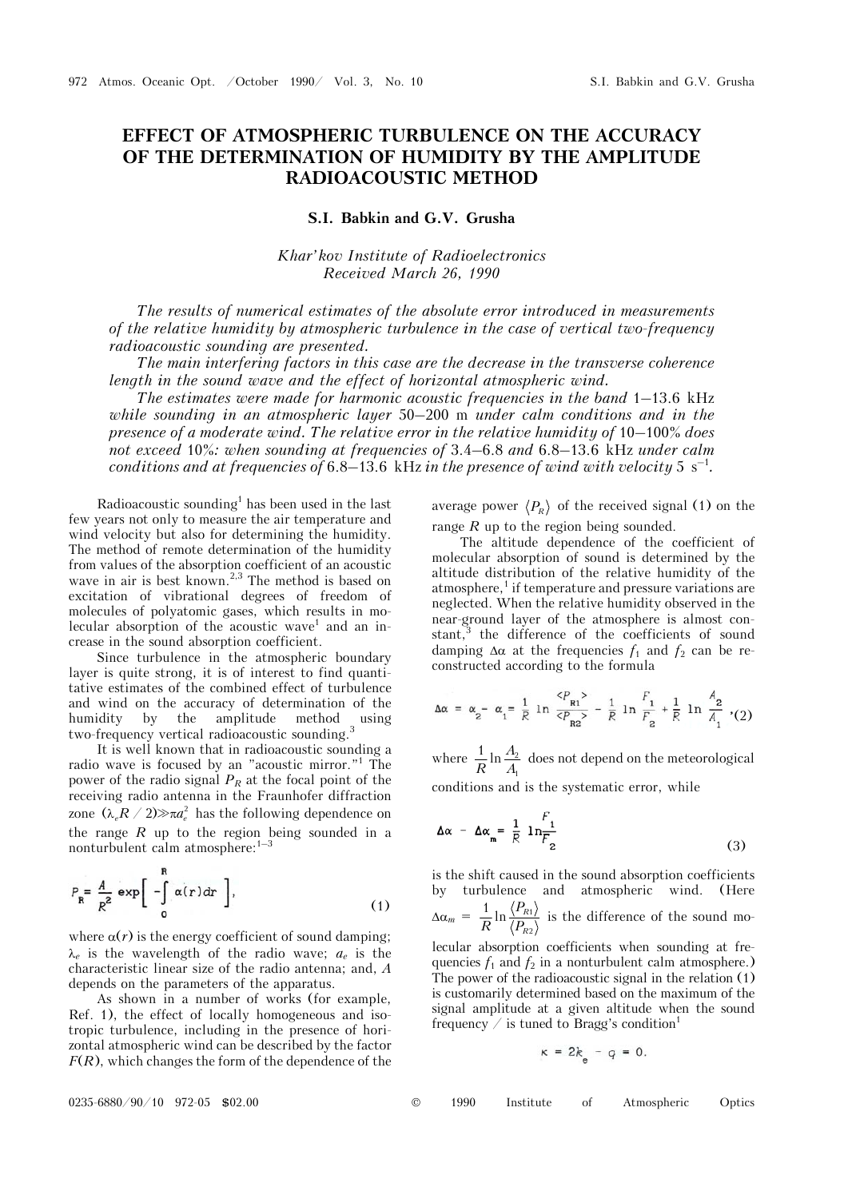## **EFFECT OF ATMOSPHERIC TURBULENCE ON THE ACCURACY OF THE DETERMINATION OF HUMIDITY BY THE AMPLITUDE RADIOACOUSTIC METHOD**

## **S.I. Babkin and G.V. Grusha**

*Khar'kov Institute of Radioelectronics Received March 26, 1990* 

*The results of numerical estimates of the absolute error introduced in measurements of the relative humidity by atmospheric turbulence in the case of vertical two-frequency radioacoustic sounding are presented.*

*The main interfering factors in this case are the decrease in the transverse coherence length in the sound wave and the effect of horizontal atmospheric wind.*

*The estimates were made for harmonic acoustic frequencies in the band* 1–13.6 kHz *while sounding in an atmospheric layer* 50–200 m *under calm conditions and in the presence of a moderate wind. The relative error in the relative humidity of* 10–100% *does not exceed* 10%*: when sounding at frequencies of* 3.4–6.8 *and* 6.8–13.6 kHz *under calm conditions and at frequencies of 6.8–13.6* kHz in the presence of wind with velocity 5 s<sup>-1</sup>.

Radioacoustic sounding<sup>1</sup> has been used in the last few years not only to measure the air temperature and wind velocity but also for determining the humidity. The method of remote determination of the humidity from values of the absorption coefficient of an acoustic wave in air is best known.<sup>2,3</sup> The method is based on excitation of vibrational degrees of freedom of molecules of polyatomic gases, which results in molecular absorption of the acoustic wave<sup>1</sup> and an increase in the sound absorption coefficient.

Since turbulence in the atmospheric boundary layer is quite strong, it is of interest to find quantitative estimates of the combined effect of turbulence and wind on the accuracy of determination of the humidity by the amplitude method using two-frequency vertical radioacoustic sounding.3

It is well known that in radioacoustic sounding a radio wave is focused by an "acoustic mirror."1 The power of the radio signal  $P_R$  at the focal point of the receiving radio antenna in the Fraunhofer diffraction zone  $(\lambda R / 2) \gg \pi a_s^2$  has the following dependence on the range  $R$  up to the region being sounded in a nonturbulent calm atmosphere:1–3

$$
P_{\mathbf{R}} = \frac{A}{R^2} \exp\left[-\int_{0}^{R} \alpha(r) dr\right],
$$
 (1)

where  $\alpha(r)$  is the energy coefficient of sound damping;  $\lambda_e$  is the wavelength of the radio wave;  $a_e$  is the characteristic linear size of the radio antenna; and, *A* depends on the parameters of the apparatus.

As shown in a number of works (for example, Ref. 1), the effect of locally homogeneous and isotropic turbulence, including in the presence of horizontal atmospheric wind can be described by the factor *F*(*R*), which changes the form of the dependence of the average power  $\langle P_R \rangle$  of the received signal (1) on the range *R* up to the region being sounded.

The altitude dependence of the coefficient of molecular absorption of sound is determined by the altitude distribution of the relative humidity of the atmosphere,<sup>1</sup> if temperature and pressure variations are neglected. When the relative humidity observed in the near-ground layer of the atmosphere is almost constant,<sup>3</sup> the difference of the coefficients of sound damping  $\Delta \alpha$  at the frequencies  $f_1$  and  $f_2$  can be reconstructed according to the formula

$$
\Delta \alpha = \alpha_2 - \alpha_1 = \frac{1}{R} \ln \frac{P_{R1}^2}{P_{R2}^2} - \frac{1}{R} \ln \frac{F_1}{F_2} + \frac{1}{R} \ln \frac{A_2}{A_1} \tag{2}
$$

where  $\frac{1}{R} \ln \frac{24}{4}$ 1  $\frac{1}{R} \ln \frac{A_2}{A_1}$  does not depend on the meteorological conditions and is the systematic error, while

$$
\Delta \alpha - \Delta \alpha_m = \frac{1}{R} \ln \frac{F_1}{F_2}
$$
 (3)

is the shift caused in the sound absorption coefficients by turbulence and atmospheric wind. (Here  $\Delta \alpha_m = \frac{1}{R} \ln \frac{\sqrt{PR_1}}{\sqrt{P_{R2}}}$  $\frac{1}{R}$  ln  $\frac{\langle P_R \rangle}{\langle R}$ *R P*  $\frac{1}{R} \ln \frac{\langle \mathcal{F}_{R1} \rangle}{\langle P_{R2} \rangle}$  is the difference of the sound mo-

lecular absorption coefficients when sounding at frequencies  $f_1$  and  $f_2$  in a nonturbulent calm atmosphere.) The power of the radioacoustic signal in the relation (1) is customarily determined based on the maximum of the signal amplitude at a given altitude when the sound frequency  $\angle$  is tuned to Bragg's condition<sup>1</sup>

$$
\kappa = 2k - q = 0.
$$

0235-6880/90/10 972-05 \$02.00 © 1990 Institute of Atmospheric Optics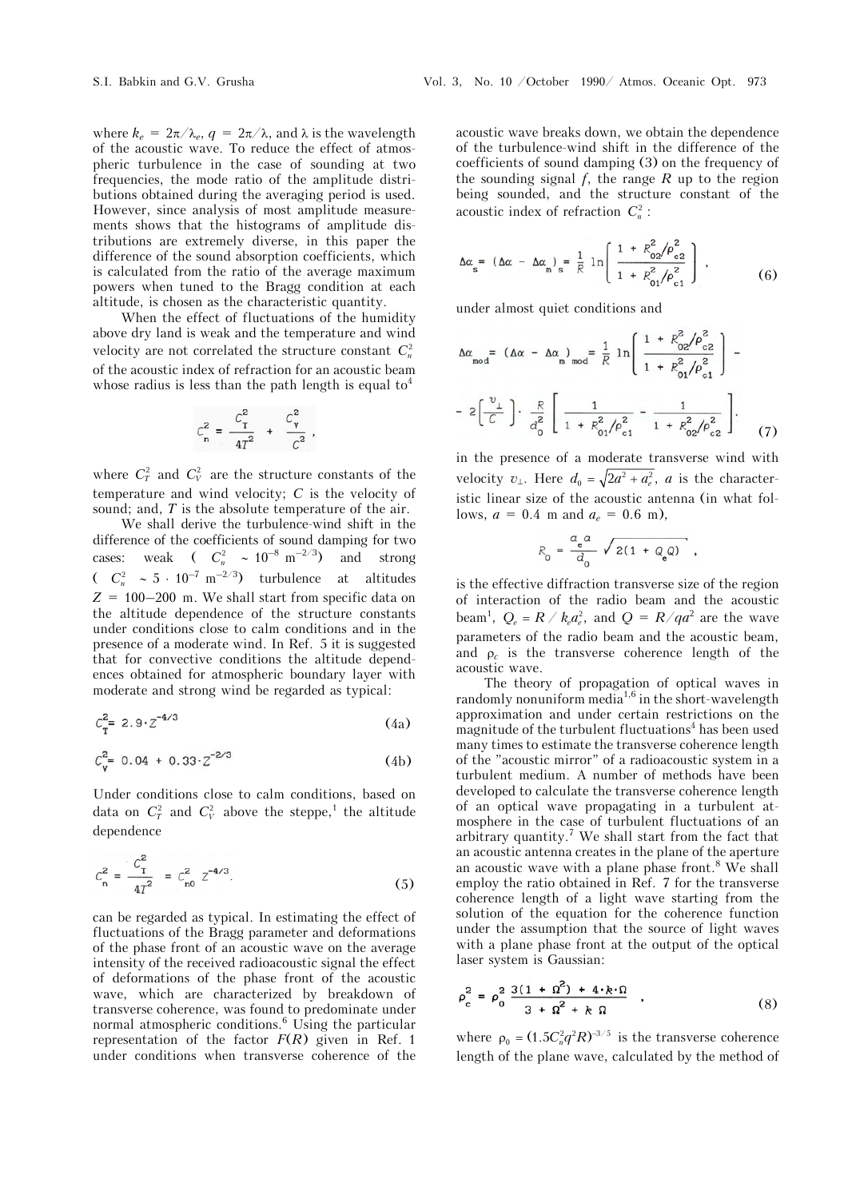where  $k_e = 2\pi/\lambda_e$ ,  $q = 2\pi/\lambda$ , and  $\lambda$  is the wavelength of the acoustic wave. To reduce the effect of atmospheric turbulence in the case of sounding at two frequencies, the mode ratio of the amplitude distributions obtained during the averaging period is used. However, since analysis of most amplitude measurements shows that the histograms of amplitude distributions are extremely diverse, in this paper the difference of the sound absorption coefficients, which is calculated from the ratio of the average maximum powers when tuned to the Bragg condition at each altitude, is chosen as the characteristic quantity.

When the effect of fluctuations of the humidity above dry land is weak and the temperature and wind velocity are not correlated the structure constant  $C_n^2$ of the acoustic index of refraction for an acoustic beam whose radius is less than the path length is equal  $to^4$ 

$$
C_{n}^{2} = \frac{C_{T}^{2}}{4T^{2}} + \frac{C_{V}^{2}}{C^{2}},
$$

where  $C_T^2$  and  $C_V^2$  are the structure constants of the temperature and wind velocity; *C* is the velocity of sound; and, *T* is the absolute temperature of the air.

We shall derive the turbulence-wind shift in the difference of the coefficients of sound damping for two cases: weak  $\left( C_n^2 \sim 10^{-8} \text{ m}^{-2/3} \right)$  and strong  $(C_n^2 \sim 5 \cdot 10^{-7} \text{ m}^{-2/3})$  turbulence at altitudes  $Z = 100-200$  m. We shall start from specific data on the altitude dependence of the structure constants under conditions close to calm conditions and in the presence of a moderate wind. In Ref. 5 it is suggested that for convective conditions the altitude dependences obtained for atmospheric boundary layer with moderate and strong wind be regarded as typical:

$$
C_{\mathbf{T}}^2 = 2.9 \cdot Z^{-4/3} \tag{4a}
$$

$$
C_{\mathbf{v}}^2 = 0.04 + 0.33 \cdot Z^{-2/3} \tag{4b}
$$

Under conditions close to calm conditions, based on data on  $C_T^2$  and  $C_V^2$  above the steppe,<sup>1</sup> the altitude dependence

$$
C_n^2 = \frac{C_T^2}{4T^2} = C_{n0}^2 Z^{-4/3}.
$$
 (5)

can be regarded as typical. In estimating the effect of fluctuations of the Bragg parameter and deformations of the phase front of an acoustic wave on the average intensity of the received radioacoustic signal the effect of deformations of the phase front of the acoustic wave, which are characterized by breakdown of transverse coherence, was found to predominate under normal atmospheric conditions.<sup>6</sup> Using the particular representation of the factor  $F(R)$  given in Ref. 1 under conditions when transverse coherence of the

acoustic wave breaks down, we obtain the dependence of the turbulence-wind shift in the difference of the coefficients of sound damping (3) on the frequency of the sounding signal *f*, the range *R* up to the region being sounded, and the structure constant of the acoustic index of refraction  $C_n^2$ :

$$
\Delta \alpha_{\rm s} = (\Delta \alpha - \Delta \alpha_{\rm m})_{\rm s} = \frac{1}{R} \ln \left( \frac{1 + R_{\rm 02}^2 / \rho_{\rm c2}^2}{1 + R_{\rm 01}^2 / \rho_{\rm c1}^2} \right) \,, \tag{6}
$$

under almost quiet conditions and

$$
\Delta \alpha_{\text{mod}} = (\Delta \alpha - \Delta \alpha_{\text{m}})_{\text{mod}} = \frac{1}{R} \ln \left( \frac{1 + R_{02}^2 / \rho_{c2}^2}{1 + R_{01}^2 / \rho_{c1}^2} \right) -
$$

$$
- 2 \left( \frac{v_{\perp}}{C} \right) \cdot \frac{R}{a_0^2} \left[ \frac{1}{1 + R_{01}^2 / \rho_{c1}^2} - \frac{1}{1 + R_{02}^2 / \rho_{c2}^2} \right]. \tag{7}
$$

in the presence of a moderate transverse wind with velocity  $v_{\perp}$ . Here  $d_0 = \sqrt{2a^2 + a_e^2}$ , *a* is the characteristic linear size of the acoustic antenna (in what follows,  $a = 0.4$  m and  $a_e = 0.6$  m),

$$
R_0 = \frac{a_e a}{d_0} \sqrt{2(1 + Q_e a)}
$$

is the effective diffraction transverse size of the region of interaction of the radio beam and the acoustic beam<sup>1</sup>,  $Q_e = R / k_e a_e^2$ , and  $Q = R / q a^2$  are the wave parameters of the radio beam and the acoustic beam, and  $\rho_c$  is the transverse coherence length of the acoustic wave.

The theory of propagation of optical waves in randomly nonuniform media<sup>1,6</sup> in the short-wavelength approximation and under certain restrictions on the magnitude of the turbulent fluctuations<sup>4</sup> has been used many times to estimate the transverse coherence length of the "acoustic mirror" of a radioacoustic system in a turbulent medium. A number of methods have been developed to calculate the transverse coherence length of an optical wave propagating in a turbulent atmosphere in the case of turbulent fluctuations of an arbitrary quantity.<sup>7</sup> We shall start from the fact that an acoustic antenna creates in the plane of the aperture an acoustic wave with a plane phase front.<sup>8</sup> We shall employ the ratio obtained in Ref. 7 for the transverse coherence length of a light wave starting from the solution of the equation for the coherence function under the assumption that the source of light waves with a plane phase front at the output of the optical laser system is Gaussian:

$$
\rho_c^2 = \rho_0^2 \frac{3(1 + \Omega^2) + 4 \cdot k \cdot \Omega}{3 + \Omega^2 + k \Omega} , \qquad (8)
$$

where  $\rho_0 = (1.5C_n^2 q^2 R)^{-3/5}$  is the transverse coherence length of the plane wave, calculated by the method of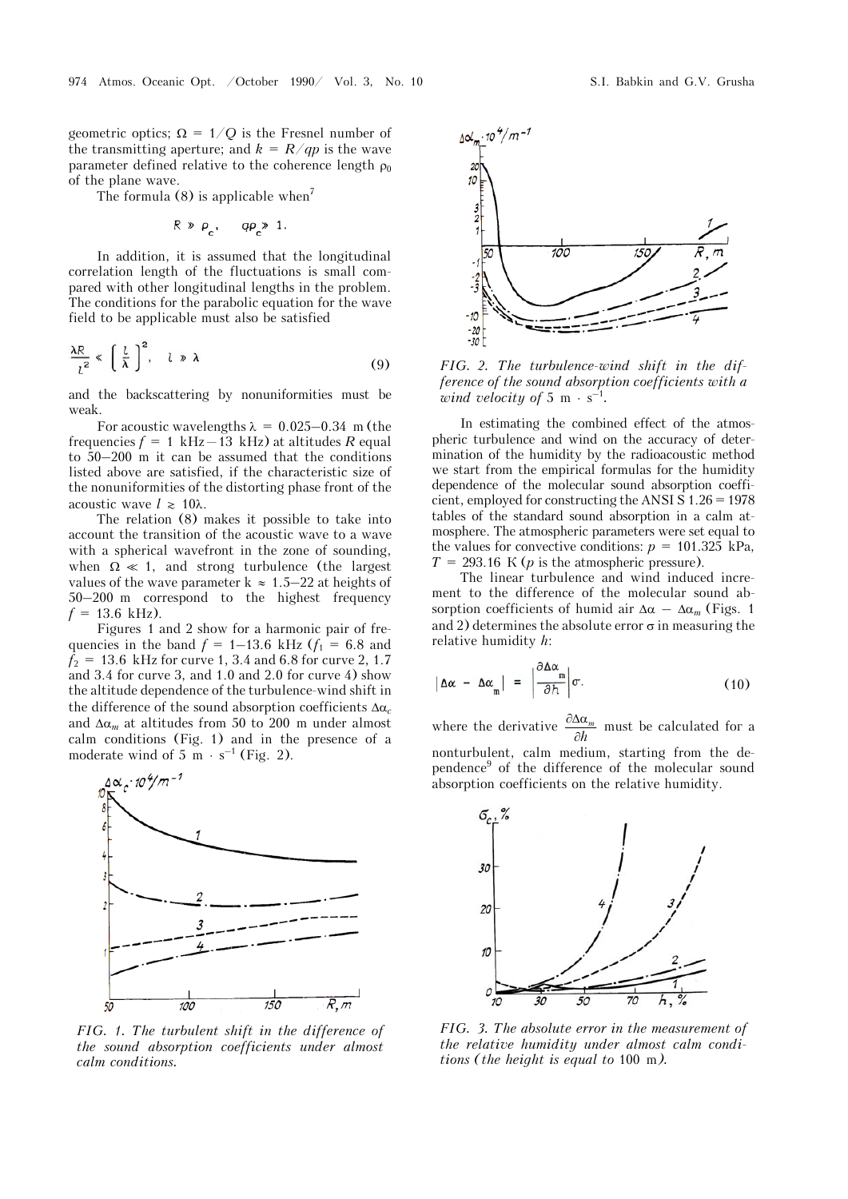geometric optics;  $\Omega = 1/Q$  is the Fresnel number of the transmitting aperture; and  $k = R/qp$  is the wave parameter defined relative to the coherence length  $\rho_0$ of the plane wave.

The formula  $(8)$  is applicable when<sup>7</sup>

$$
R \gg \rho
$$
,  $q\rho \gg 1$ .

In addition, it is assumed that the longitudinal correlation length of the fluctuations is small compared with other longitudinal lengths in the problem. The conditions for the parabolic equation for the wave field to be applicable must also be satisfied

$$
\frac{\lambda R}{l^2} \ll \left(\frac{l}{\lambda}\right)^2, \quad l \gg \lambda \tag{9}
$$

and the backscattering by nonuniformities must be weak.

For acoustic wavelengths  $\lambda = 0.025 - 0.34$  m (the frequencies  $f = 1$  kHz-13 kHz) at altitudes R equal to 50–200 m it can be assumed that the conditions listed above are satisfied, if the characteristic size of the nonuniformities of the distorting phase front of the acoustic wave  $l \geq 10\lambda$ .

The relation (8) makes it possible to take into account the transition of the acoustic wave to a wave with a spherical wavefront in the zone of sounding, when  $\Omega \ll 1$ , and strong turbulence (the largest values of the wave parameter  $k \approx 1.5-22$  at heights of 50–200 m correspond to the highest frequency  $f = 13.6$  kHz).

Figures 1 and 2 show for a harmonic pair of frequencies in the band  $f = 1 - 13.6 \text{ kHz}$  ( $f_1 = 6.8 \text{ and}$ )  $f_2 = 13.6$  kHz for curve 1, 3.4 and 6.8 for curve 2, 1.7 and 3.4 for curve 3, and 1.0 and 2.0 for curve 4) show the altitude dependence of the turbulence-wind shift in the difference of the sound absorption coefficients  $\Delta\alpha_c$ and  $\Delta\alpha_m$  at altitudes from 50 to 200 m under almost calm conditions (Fig. 1) and in the presence of a moderate wind of  $5 \text{ m} \cdot \text{s}^{-1}$  (Fig. 2).



*FIG. 1. The turbulent shift in the difference of the sound absorption coefficients under almost calm conditions.*



*FIG. 2. The turbulence-wind shift in the difference of the sound absorption coefficients with a wind velocity of* 5 m  $\cdot$  s<sup>-1</sup>.

In estimating the combined effect of the atmospheric turbulence and wind on the accuracy of determination of the humidity by the radioacoustic method we start from the empirical formulas for the humidity dependence of the molecular sound absorption coefficient, employed for constructing the ANSI S 1.26 = 1978 tables of the standard sound absorption in a calm atmosphere. The atmospheric parameters were set equal to the values for convective conditions:  $p = 101.325$  kPa,  $T = 293.16$  K (*p* is the atmospheric pressure).

The linear turbulence and wind induced increment to the difference of the molecular sound absorption coefficients of humid air  $\Delta \alpha - \Delta \alpha_m$  (Figs. 1) and 2) determines the absolute error  $\sigma$  in measuring the relative humidity *h*:

$$
|\Delta \alpha - \Delta \alpha_{m}| = \left| \frac{\partial \Delta \alpha_{m}}{\partial h} \right| \sigma.
$$
 (10)

where the derivative  $\frac{\partial \Delta \alpha_m}{\partial h}$  $\partial \Delta \alpha$  $\frac{\partial \mathbf{x}_m}{\partial h}$  must be calculated for a nonturbulent, calm medium, starting from the dependence<sup>9</sup> of the difference of the molecular sound absorption coefficients on the relative humidity.



*FIG. 3. The absolute error in the measurement of the relative humidity under almost calm conditions (the height is equal to* 100 m*).*